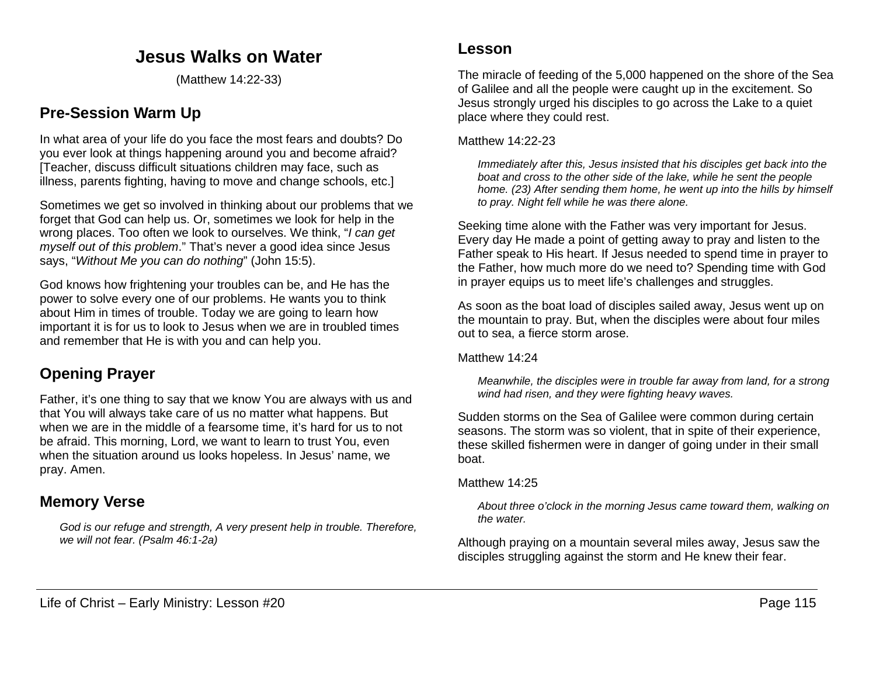## **Jesus Walks on Water**

(Matthew 14:22-33)

## **Pre-Session Warm Up**

In what area of your life do you face the most fears and doubts? Do you ever look at things happening around you and become afraid? [Teacher, discuss difficult situations children may face, such as illness, parents fighting, having to move and change schools, etc.]

Sometimes we get so involved in thinking about our problems that we forget that God can help us. Or, sometimes we look for help in the wrong places. Too often we look to ourselves. We think, "*I can get myself out of this problem*." That's never a good idea since Jesus says, "*Without Me you can do nothing*" (John 15:5).

God knows how frightening your troubles can be, and He has the power to solve every one of our problems. He wants you to think about Him in times of trouble. Today we are going to learn how important it is for us to look to Jesus when we are in troubled times and remember that He is with you and can help you.

## **Opening Prayer**

Father, it's one thing to say that we know You are always with us and that You will always take care of us no matter what happens. But when we are in the middle of a fearsome time, it's hard for us to not be afraid. This morning, Lord, we want to learn to trust You, even when the situation around us looks hopeless. In Jesus' name, we pray. Amen.

### **Memory Verse**

*God is our refuge and strength, A very present help in trouble. Therefore, we will not fear. (Psalm 46:1-2a)*

The miracle of feeding of the 5,000 happened on the shore of the Sea of Galilee and all the people were caught up in the excitement. So Jesus strongly urged his disciples to go across the Lake to a quiet place where they could rest.

#### Matthew 14:22-23

*Immediately after this, Jesus insisted that his disciples get back into the boat and cross to the other side of the lake, while he sent the people home. (23) After sending them home, he went up into the hills by himself to pray. Night fell while he was there alone.*

Seeking time alone with the Father was very important for Jesus. Every day He made a point of getting away to pray and listen to the Father speak to His heart. If Jesus needed to spend time in prayer to the Father, how much more do we need to? Spending time with God in prayer equips us to meet life's challenges and struggles.

As soon as the boat load of disciples sailed away, Jesus went up on the mountain to pray. But, when the disciples were about four miles out to sea, a fierce storm arose.

Matthew 14:24

*Meanwhile, the disciples were in trouble far away from land, for a strong wind had risen, and they were fighting heavy waves.*

Sudden storms on the Sea of Galilee were common during certain seasons. The storm was so violent, that in spite of their experience, these skilled fishermen were in danger of going under in their small boat.

#### Matthew 14:25

*About three o'clock in the morning Jesus came toward them, walking on the water.*

Although praying on a mountain several miles away, Jesus saw the disciples struggling against the storm and He knew their fear.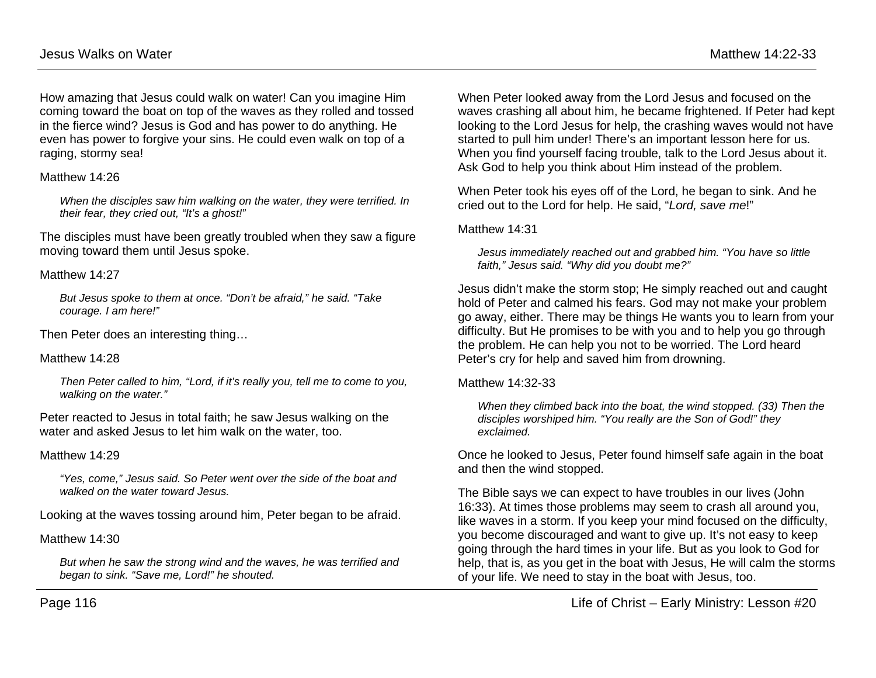How amazing that Jesus could walk on water! Can you imagine Him coming toward the boat on top of the waves as they rolled and tossed in the fierce wind? Jesus is God and has power to do anything. He even has power to forgive your sins. He could even walk on top of a raging, stormy sea!

#### Matthew 14:26

*When the disciples saw him walking on the water, they were terrified. In their fear, they cried out, "It's a ghost!"*

The disciples must have been greatly troubled when they saw a figure moving toward them until Jesus spoke.

#### Matthew 14:27

*But Jesus spoke to them at once. "Don't be afraid," he said. "Take courage. I am here!"*

Then Peter does an interesting thing…

#### Matthew 14:28

*Then Peter called to him, "Lord, if it's really you, tell me to come to you, walking on the water."*

Peter reacted to Jesus in total faith; he saw Jesus walking on the water and asked Jesus to let him walk on the water, too.

#### Matthew 14:29

*"Yes, come," Jesus said. So Peter went over the side of the boat and walked on the water toward Jesus.*

Looking at the waves tossing around him, Peter began to be afraid.

### Matthew 14:30

*But when he saw the strong wind and the waves, he was terrified and began to sink. "Save me, Lord!" he shouted.*

When Peter looked away from the Lord Jesus and focused on the waves crashing all about him, he became frightened. If Peter had kept looking to the Lord Jesus for help, the crashing waves would not have started to pull him under! There's an important lesson here for us. When you find yourself facing trouble, talk to the Lord Jesus about it. Ask God to help you think about Him instead of the problem.

When Peter took his eyes off of the Lord, he began to sink. And he cried out to the Lord for help. He said, "*Lord, save me*!"

#### Matthew 14:31

*Jesus immediately reached out and grabbed him. "You have so little faith," Jesus said. "Why did you doubt me?"*

Jesus didn't make the storm stop; He simply reached out and caught hold of Peter and calmed his fears. God may not make your problem go away, either. There may be things He wants you to learn from your difficulty. But He promises to be with you and to help you go through the problem. He can help you not to be worried. The Lord heard Peter's cry for help and saved him from drowning.

#### Matthew 14:32-33

*When they climbed back into the boat, the wind stopped. (33) Then the disciples worshiped him. "You really are the Son of God!" they exclaimed.*

Once he looked to Jesus, Peter found himself safe again in the boat and then the wind stopped.

The Bible says we can expect to have troubles in our lives (John 16:33). At times those problems may seem to crash all around you, like waves in a storm. If you keep your mind focused on the difficulty, you become discouraged and want to give up. It's not easy to keep going through the hard times in your life. But as you look to God for help, that is, as you get in the boat with Jesus, He will calm the storms of your life. We need to stay in the boat with Jesus, too.